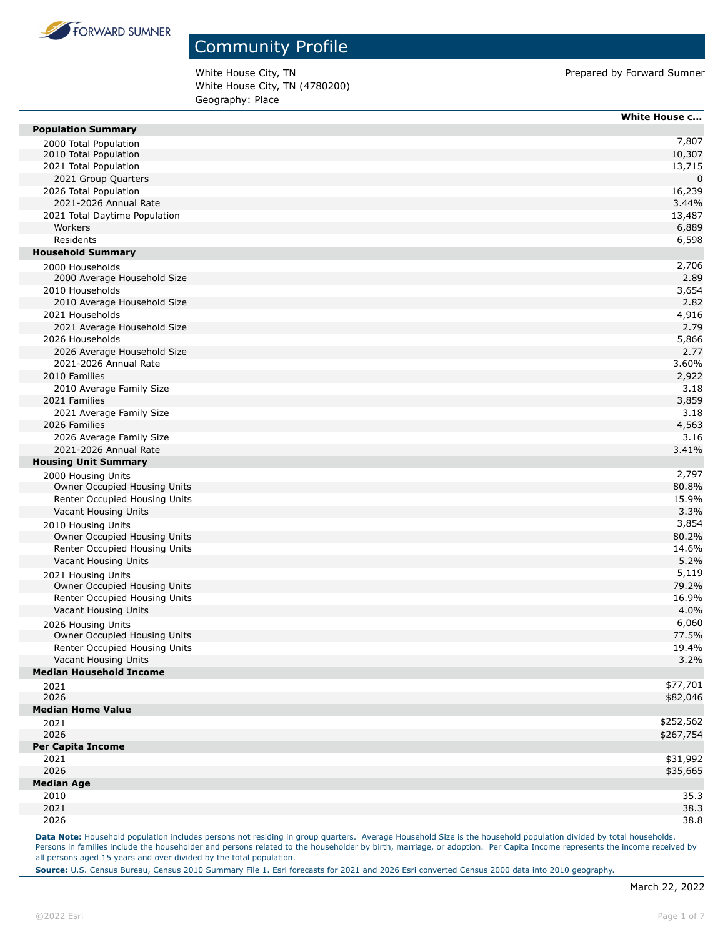

White House City, TN **Prepared by Forward Sumner** White House City, TN (4780200) Geography: Place

|                                                               | White House c   |
|---------------------------------------------------------------|-----------------|
| <b>Population Summary</b>                                     |                 |
| 2000 Total Population                                         | 7,807           |
| 2010 Total Population                                         | 10,307          |
| 2021 Total Population                                         | 13,715          |
| 2021 Group Quarters                                           | 0               |
| 2026 Total Population                                         | 16,239          |
| 2021-2026 Annual Rate                                         | 3.44%           |
| 2021 Total Daytime Population<br>Workers                      | 13,487<br>6,889 |
| Residents                                                     |                 |
| <b>Household Summary</b>                                      | 6,598           |
|                                                               | 2,706           |
| 2000 Households<br>2000 Average Household Size                | 2.89            |
| 2010 Households                                               | 3,654           |
| 2010 Average Household Size                                   | 2.82            |
| 2021 Households                                               | 4,916           |
| 2021 Average Household Size                                   | 2.79            |
| 2026 Households                                               | 5,866           |
| 2026 Average Household Size                                   | 2.77            |
| 2021-2026 Annual Rate                                         | 3.60%           |
| 2010 Families                                                 | 2,922           |
| 2010 Average Family Size                                      | 3.18            |
| 2021 Families                                                 | 3,859           |
| 2021 Average Family Size                                      | 3.18            |
| 2026 Families                                                 | 4,563           |
| 2026 Average Family Size                                      | 3.16            |
| 2021-2026 Annual Rate                                         | 3.41%           |
| <b>Housing Unit Summary</b>                                   |                 |
| 2000 Housing Units                                            | 2,797           |
| Owner Occupied Housing Units                                  | 80.8%           |
| Renter Occupied Housing Units                                 | 15.9%           |
| Vacant Housing Units                                          | 3.3%            |
| 2010 Housing Units                                            | 3,854           |
| Owner Occupied Housing Units                                  | 80.2%           |
| Renter Occupied Housing Units                                 | 14.6%           |
| Vacant Housing Units                                          | 5.2%            |
| 2021 Housing Units                                            | 5,119           |
| Owner Occupied Housing Units                                  | 79.2%           |
| Renter Occupied Housing Units                                 | 16.9%           |
| Vacant Housing Units                                          | 4.0%<br>6,060   |
| 2026 Housing Units                                            | 77.5%           |
| Owner Occupied Housing Units<br>Renter Occupied Housing Units | 19.4%           |
| Vacant Housing Units                                          | 3.2%            |
| <b>Median Household Income</b>                                |                 |
| 2021                                                          | \$77,701        |
| 2026                                                          | \$82,046        |
| <b>Median Home Value</b>                                      |                 |
| 2021                                                          | \$252,562       |
| 2026                                                          | \$267,754       |
| <b>Per Capita Income</b>                                      |                 |
| 2021                                                          | \$31,992        |
| 2026                                                          | \$35,665        |
| <b>Median Age</b>                                             |                 |
| 2010                                                          | 35.3            |
| 2021                                                          | 38.3            |
| 2026                                                          | 38.8            |

Data Note: Household population includes persons not residing in group quarters. Average Household Size is the household population divided by total households. Persons in families include the householder and persons related to the householder by birth, marriage, or adoption. Per Capita Income represents the income received by all persons aged 15 years and over divided by the total population.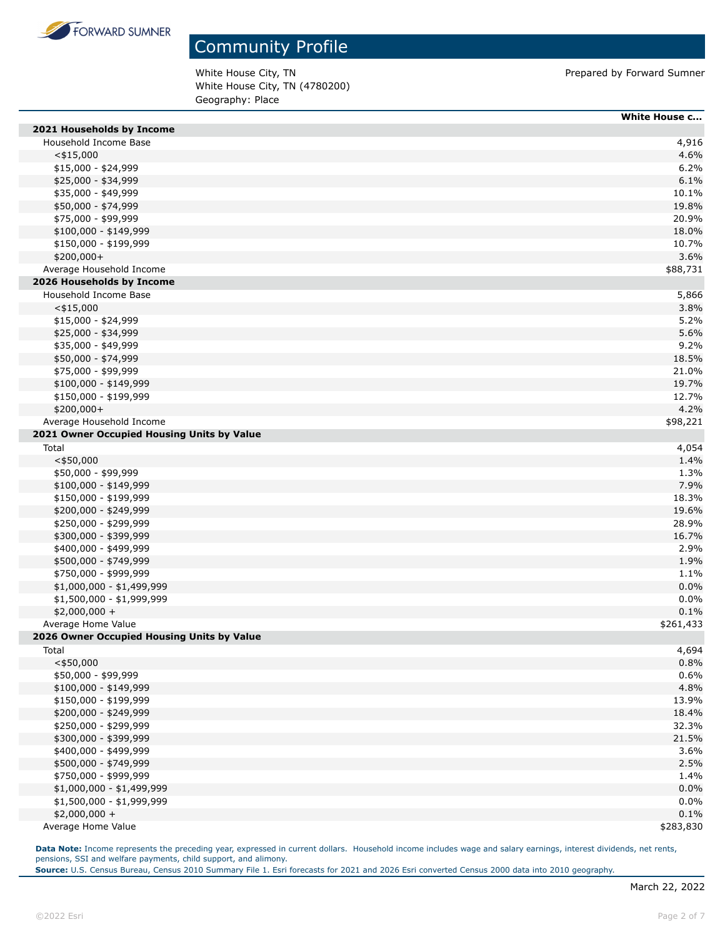

White House City, TN **Prepared by Forward Sumner** White House City, TN (4780200) Geography: Place

|                                            | <b>White House c</b> |
|--------------------------------------------|----------------------|
| 2021 Households by Income                  |                      |
| Household Income Base                      | 4,916                |
| $<$ \$15,000                               | 4.6%                 |
| $$15,000 - $24,999$                        | 6.2%                 |
| \$25,000 - \$34,999                        | 6.1%                 |
| \$35,000 - \$49,999                        | 10.1%                |
| \$50,000 - \$74,999                        | 19.8%                |
| \$75,000 - \$99,999                        | 20.9%                |
| \$100,000 - \$149,999                      | 18.0%                |
| \$150,000 - \$199,999                      | 10.7%                |
| $$200,000+$                                | 3.6%                 |
| Average Household Income                   | \$88,731             |
| 2026 Households by Income                  |                      |
| Household Income Base                      | 5,866                |
| $<$ \$15,000                               | 3.8%                 |
| $$15,000 - $24,999$                        | 5.2%                 |
| \$25,000 - \$34,999                        | 5.6%                 |
| \$35,000 - \$49,999                        | 9.2%                 |
| \$50,000 - \$74,999                        | 18.5%                |
| \$75,000 - \$99,999                        | 21.0%                |
| $$100,000 - $149,999$                      | 19.7%                |
| \$150,000 - \$199,999                      | 12.7%                |
| \$200,000+                                 | 4.2%                 |
| Average Household Income                   | \$98,221             |
| 2021 Owner Occupied Housing Units by Value |                      |
| Total                                      | 4,054                |
| $<$ \$50,000                               | 1.4%                 |
| \$50,000 - \$99,999                        | 1.3%                 |
| $$100,000 - $149,999$                      | 7.9%                 |
| \$150,000 - \$199,999                      | 18.3%                |
| \$200,000 - \$249,999                      | 19.6%                |
| \$250,000 - \$299,999                      | 28.9%                |
| \$300,000 - \$399,999                      | 16.7%                |
| \$400,000 - \$499,999                      | 2.9%                 |
| \$500,000 - \$749,999                      | 1.9%                 |
| \$750,000 - \$999,999                      | 1.1%                 |
| $$1,000,000 - $1,499,999$                  | 0.0%                 |
| \$1,500,000 - \$1,999,999                  | 0.0%                 |
| $$2,000,000 +$                             | 0.1%                 |
| Average Home Value                         | \$261,433            |
| 2026 Owner Occupied Housing Units by Value |                      |
| Total                                      | 4,694                |
| $<$ \$50,000                               | 0.8%                 |
| \$50,000 - \$99,999                        | 0.6%                 |
| $$100,000 - $149,999$                      | 4.8%                 |
| \$150,000 - \$199,999                      | 13.9%                |
| \$200,000 - \$249,999                      | 18.4%                |
| \$250,000 - \$299,999                      | 32.3%                |
| \$300,000 - \$399,999                      | 21.5%                |
| \$400,000 - \$499,999                      | 3.6%                 |
| \$500,000 - \$749,999                      | 2.5%                 |
| \$750,000 - \$999,999                      | 1.4%                 |
| $$1,000,000 - $1,499,999$                  | 0.0%                 |
| \$1,500,000 - \$1,999,999                  | 0.0%                 |
| $$2,000,000 +$                             | 0.1%                 |
| Average Home Value                         | \$283,830            |

Data Note: Income represents the preceding year, expressed in current dollars. Household income includes wage and salary earnings, interest dividends, net rents, pensions, SSI and welfare payments, child support, and alimony.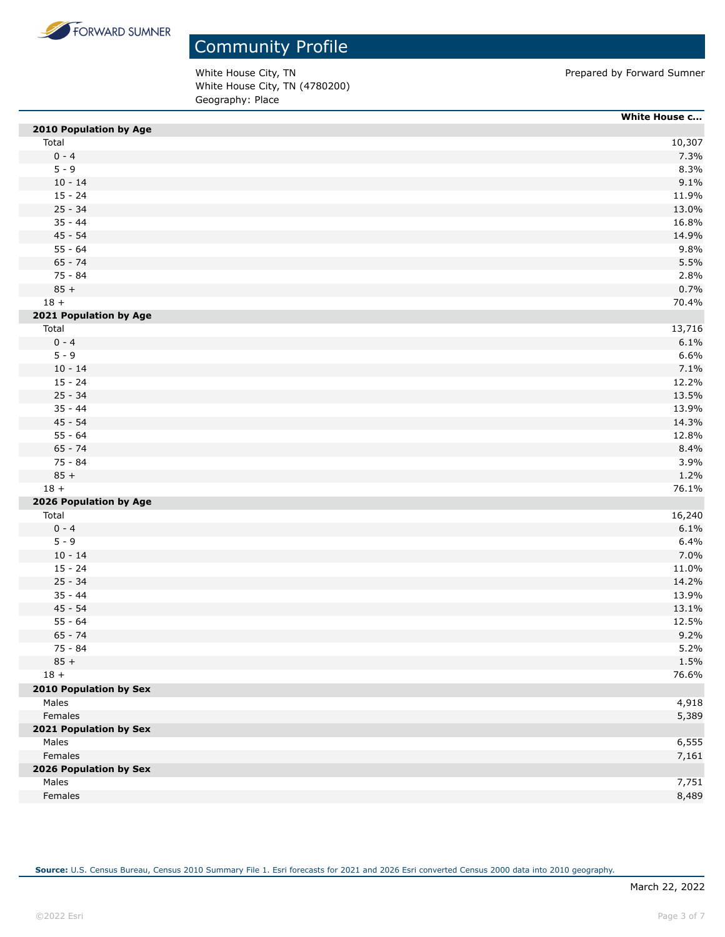

White House City, TN **Prepared by Forward Sumner** White House City, TN (4780200) Geography: Place

|                        | White House c |
|------------------------|---------------|
| 2010 Population by Age |               |
| Total                  | 10,307        |
| $0 - 4$                | 7.3%          |
| $5 - 9$                | 8.3%          |
| $10 - 14$              | 9.1%          |
| $15 - 24$              | 11.9%         |
| $25 - 34$              | 13.0%         |
| $35 - 44$              | 16.8%         |
| $45 - 54$              | 14.9%         |
| $55 - 64$              | 9.8%          |
| $65 - 74$              | 5.5%          |
| 75 - 84                | 2.8%          |
| $85 +$                 | 0.7%          |
| $18 +$                 | 70.4%         |
| 2021 Population by Age |               |
| Total                  | 13,716        |
| $0 - 4$                | 6.1%          |
| $5 - 9$                | 6.6%          |
| $10 - 14$              | 7.1%          |
| $15 - 24$              | 12.2%         |
| $25 - 34$              | 13.5%         |
| $35 - 44$              | 13.9%         |
| $45 - 54$              | 14.3%         |
| $55 - 64$              | 12.8%         |
| $65 - 74$              | 8.4%          |
| 75 - 84                | 3.9%          |
| $85 +$                 | 1.2%          |
| $18 +$                 | 76.1%         |
| 2026 Population by Age |               |
| Total                  | 16,240        |
| $0 - 4$                | 6.1%          |
| $5 - 9$                | 6.4%          |
| $10 - 14$              | 7.0%          |
| $15 - 24$              | 11.0%         |
| $25 - 34$              | 14.2%         |
| $35 - 44$              | 13.9%         |
| $45 - 54$              | 13.1%         |
| $55 - 64$              | 12.5%         |
| $65 - 74$              | 9.2%          |
| 75 - 84                | 5.2%          |
| $85 +$                 | 1.5%          |
| $18 +$                 | 76.6%         |
| 2010 Population by Sex |               |
| Males                  | 4,918         |
| Females                | 5,389         |
| 2021 Population by Sex |               |
| Males                  | 6,555         |
| Females                | 7,161         |
| 2026 Population by Sex |               |
| Males                  | 7,751         |
| Females                | 8,489         |
|                        |               |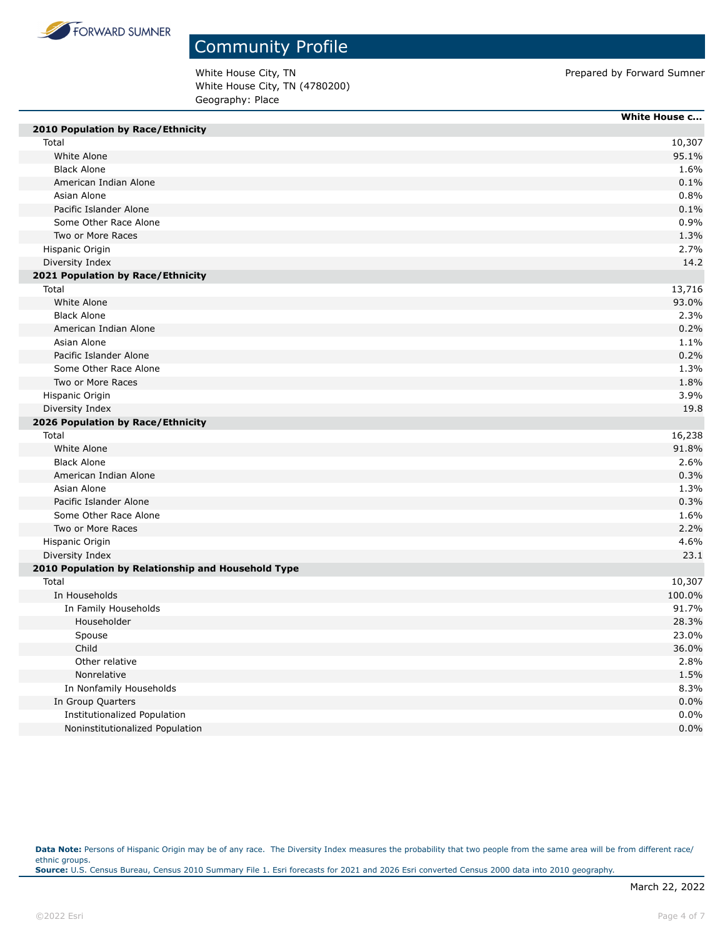

White House City, TN **Prepared by Forward Sumner** White House City, TN (4780200) Geography: Place

|                                                    | White House c |
|----------------------------------------------------|---------------|
| 2010 Population by Race/Ethnicity                  |               |
| Total                                              | 10,307        |
| White Alone                                        | 95.1%         |
| <b>Black Alone</b>                                 | 1.6%          |
| American Indian Alone                              | 0.1%          |
| Asian Alone                                        | 0.8%          |
| Pacific Islander Alone                             | 0.1%          |
| Some Other Race Alone                              | 0.9%          |
| Two or More Races                                  | 1.3%          |
| Hispanic Origin                                    | 2.7%          |
| Diversity Index                                    | 14.2          |
| 2021 Population by Race/Ethnicity                  |               |
| Total                                              | 13,716        |
| White Alone                                        | 93.0%         |
| <b>Black Alone</b>                                 | 2.3%          |
| American Indian Alone                              | 0.2%          |
| Asian Alone                                        | 1.1%          |
| Pacific Islander Alone                             | 0.2%          |
| Some Other Race Alone                              | 1.3%          |
| Two or More Races                                  | 1.8%          |
| Hispanic Origin                                    | 3.9%          |
| Diversity Index                                    | 19.8          |
| 2026 Population by Race/Ethnicity                  |               |
| Total                                              | 16,238        |
| White Alone                                        | 91.8%         |
| <b>Black Alone</b>                                 | 2.6%          |
| American Indian Alone                              | 0.3%          |
| Asian Alone                                        | 1.3%          |
| Pacific Islander Alone                             | 0.3%          |
| Some Other Race Alone                              | 1.6%          |
| Two or More Races                                  | 2.2%          |
| Hispanic Origin                                    | 4.6%          |
| Diversity Index                                    | 23.1          |
| 2010 Population by Relationship and Household Type |               |
| Total                                              | 10,307        |
| In Households                                      | 100.0%        |
| In Family Households                               | 91.7%         |
| Householder                                        | 28.3%         |
| Spouse                                             | 23.0%         |
| Child                                              | 36.0%         |
| Other relative                                     | 2.8%          |
| Nonrelative                                        | 1.5%          |
| In Nonfamily Households                            | 8.3%          |
| In Group Quarters                                  | 0.0%          |
| Institutionalized Population                       | 0.0%          |
| Noninstitutionalized Population                    | 0.0%          |
|                                                    |               |

Data Note: Persons of Hispanic Origin may be of any race. The Diversity Index measures the probability that two people from the same area will be from different race/ ethnic groups. **Source:** U.S. Census Bureau, Census 2010 Summary File 1. Esri forecasts for 2021 and 2026 Esri converted Census 2000 data into 2010 geography.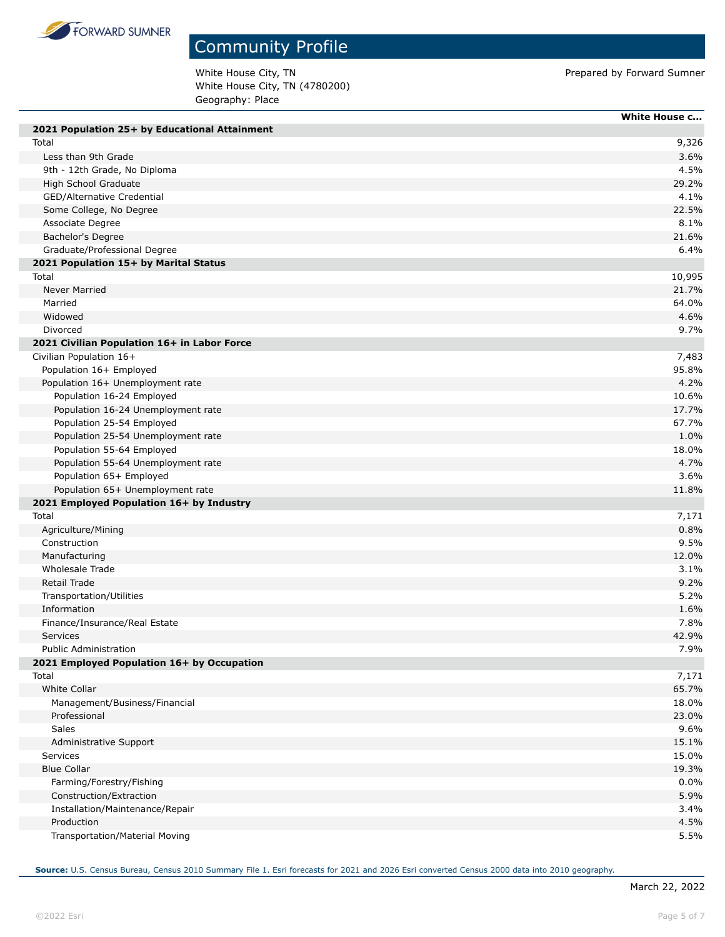

### Community Profile

White House City, TN **Prepared by Forward Sumner** White House City, TN (4780200) Geography: Place

|                                               | <b>White House c</b> |
|-----------------------------------------------|----------------------|
| 2021 Population 25+ by Educational Attainment |                      |
| Total                                         | 9,326                |
| Less than 9th Grade                           | 3.6%                 |
| 9th - 12th Grade, No Diploma                  | 4.5%                 |
| High School Graduate                          | 29.2%                |
| GED/Alternative Credential                    | 4.1%                 |
| Some College, No Degree                       | 22.5%                |
| Associate Degree                              | 8.1%                 |
| Bachelor's Degree                             | 21.6%                |
| Graduate/Professional Degree                  | 6.4%                 |
| 2021 Population 15+ by Marital Status         |                      |
| Total                                         | 10,995               |
| <b>Never Married</b>                          | 21.7%                |
| Married                                       | 64.0%                |
| Widowed                                       | 4.6%                 |
| Divorced                                      | 9.7%                 |
| 2021 Civilian Population 16+ in Labor Force   |                      |
| Civilian Population 16+                       | 7,483                |
| Population 16+ Employed                       | 95.8%                |
| Population 16+ Unemployment rate              | 4.2%                 |
| Population 16-24 Employed                     | 10.6%                |
| Population 16-24 Unemployment rate            | 17.7%                |
| Population 25-54 Employed                     | 67.7%                |
| Population 25-54 Unemployment rate            | 1.0%                 |
| Population 55-64 Employed                     | 18.0%                |
| Population 55-64 Unemployment rate            | 4.7%                 |
| Population 65+ Employed                       | 3.6%                 |
| Population 65+ Unemployment rate              | 11.8%                |
| 2021 Employed Population 16+ by Industry      |                      |
| Total                                         | 7,171                |
| Agriculture/Mining                            | 0.8%                 |
| Construction                                  | 9.5%                 |
| Manufacturing                                 | 12.0%                |
| Wholesale Trade                               | 3.1%                 |
| Retail Trade                                  | 9.2%                 |
| Transportation/Utilities                      | 5.2%                 |
| Information                                   | 1.6%                 |
| Finance/Insurance/Real Estate                 | 7.8%                 |
| Services                                      | 42.9%                |
| <b>Public Administration</b>                  | 7.9%                 |
| 2021 Employed Population 16+ by Occupation    |                      |
| Total                                         | 7,171                |
| <b>White Collar</b>                           | 65.7%                |
| Management/Business/Financial                 | 18.0%                |
| Professional                                  | 23.0%                |
| Sales                                         | 9.6%                 |
| Administrative Support                        | 15.1%                |
| Services                                      | 15.0%                |
| <b>Blue Collar</b>                            | 19.3%                |
| Farming/Forestry/Fishing                      | 0.0%                 |
| Construction/Extraction                       | 5.9%                 |
| Installation/Maintenance/Repair               | 3.4%                 |
| Production                                    | 4.5%                 |
| Transportation/Material Moving                | 5.5%                 |
|                                               |                      |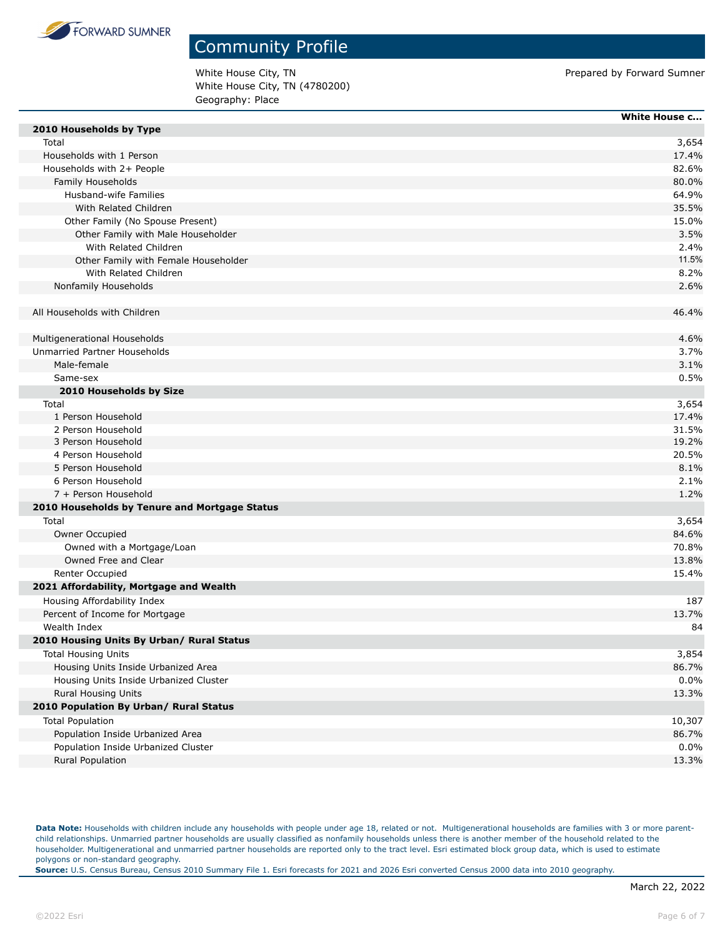

White House City, TN **Prepared by Forward Sumner** White House City, TN (4780200) Geography: Place

|                                               | <b>White House c</b> |
|-----------------------------------------------|----------------------|
| 2010 Households by Type                       |                      |
| Total                                         | 3,654                |
| Households with 1 Person                      | 17.4%                |
| Households with 2+ People                     | 82.6%                |
| Family Households                             | 80.0%                |
| Husband-wife Families                         | 64.9%                |
| With Related Children                         | 35.5%                |
| Other Family (No Spouse Present)              | 15.0%                |
| Other Family with Male Householder            | 3.5%                 |
| With Related Children                         | 2.4%                 |
| Other Family with Female Householder          | 11.5%                |
| With Related Children                         | 8.2%                 |
| Nonfamily Households                          | 2.6%                 |
| All Households with Children                  | 46.4%                |
| Multigenerational Households                  | 4.6%                 |
| Unmarried Partner Households                  | 3.7%                 |
| Male-female                                   | 3.1%                 |
| Same-sex                                      | 0.5%                 |
| 2010 Households by Size                       |                      |
| Total                                         | 3,654                |
| 1 Person Household                            | 17.4%                |
| 2 Person Household                            | 31.5%                |
| 3 Person Household                            | 19.2%                |
| 4 Person Household                            | 20.5%                |
| 5 Person Household                            | 8.1%                 |
| 6 Person Household                            | 2.1%                 |
| 7 + Person Household                          | 1.2%                 |
| 2010 Households by Tenure and Mortgage Status |                      |
| Total                                         | 3,654                |
| Owner Occupied                                | 84.6%                |
| Owned with a Mortgage/Loan                    | 70.8%                |
| Owned Free and Clear                          | 13.8%                |
| Renter Occupied                               | 15.4%                |
| 2021 Affordability, Mortgage and Wealth       |                      |
| Housing Affordability Index                   | 187                  |
| Percent of Income for Mortgage                | 13.7%                |
| Wealth Index                                  | 84                   |
| 2010 Housing Units By Urban/ Rural Status     |                      |
| <b>Total Housing Units</b>                    | 3,854                |
| Housing Units Inside Urbanized Area           | 86.7%                |
| Housing Units Inside Urbanized Cluster        | 0.0%                 |
| Rural Housing Units                           | 13.3%                |
| 2010 Population By Urban/ Rural Status        |                      |
| <b>Total Population</b>                       | 10,307               |
| Population Inside Urbanized Area              | 86.7%                |
| Population Inside Urbanized Cluster           | 0.0%                 |
| Rural Population                              | 13.3%                |
|                                               |                      |

Data Note: Households with children include any households with people under age 18, related or not. Multigenerational households are families with 3 or more parentchild relationships. Unmarried partner households are usually classified as nonfamily households unless there is another member of the household related to the householder. Multigenerational and unmarried partner households are reported only to the tract level. Esri estimated block group data, which is used to estimate polygons or non-standard geography.